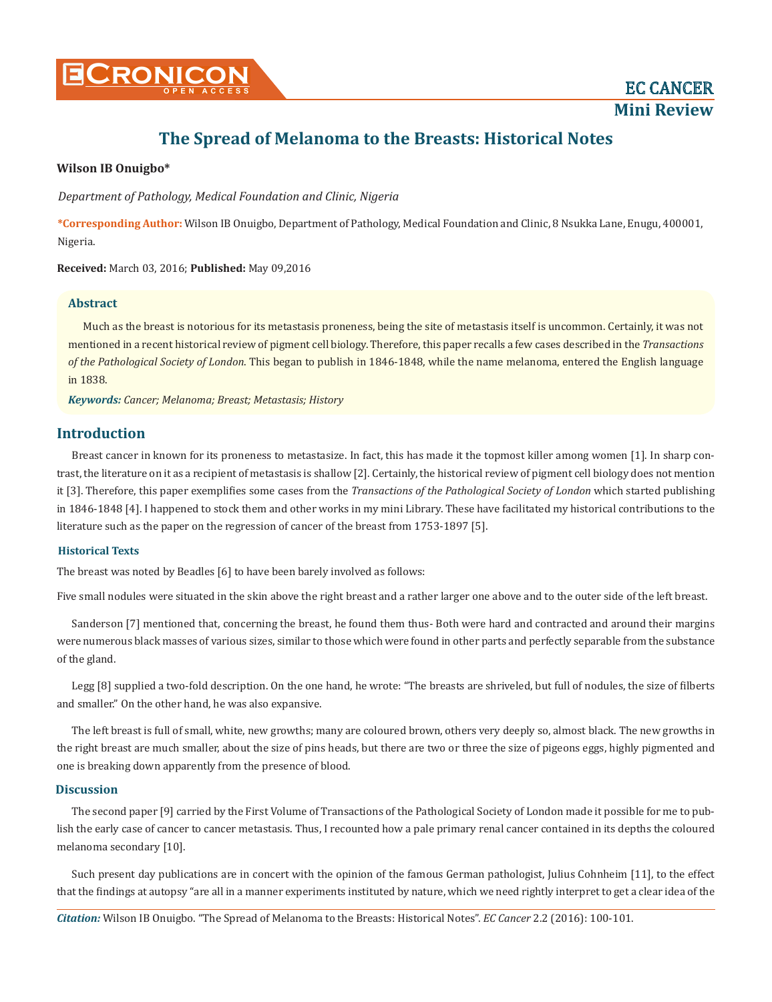

**Mini Review**

# **The Spread of Melanoma to the Breasts: Historical Notes**

#### **Wilson IB Onuigbo\***

*Department of Pathology, Medical Foundation and Clinic, Nigeria*

**\*Corresponding Author:** Wilson IB Onuigbo, Department of Pathology, Medical Foundation and Clinic, 8 Nsukka Lane, Enugu, 400001, Nigeria.

**Received:** March 03, 2016; **Published:** May 09,2016

#### **Abstract**

Much as the breast is notorious for its metastasis proneness, being the site of metastasis itself is uncommon. Certainly, it was not mentioned in a recent historical review of pigment cell biology. Therefore, this paper recalls a few cases described in the *Transactions of the Pathological Society of London*. This began to publish in 1846-1848, while the name melanoma, entered the English language in 1838.

*Keywords: Cancer; Melanoma; Breast; Metastasis; History*

#### **Introduction**

Breast cancer in known for its proneness to metastasize. In fact, this has made it the topmost killer among women [1]. In sharp contrast, the literature on it as a recipient of metastasis is shallow [2]. Certainly, the historical review of pigment cell biology does not mention it [3]. Therefore, this paper exemplifies some cases from the *Transactions of the Pathological Society of London* which started publishing in 1846-1848 [4]. I happened to stock them and other works in my mini Library. These have facilitated my historical contributions to the literature such as the paper on the regression of cancer of the breast from 1753-1897 [5].

#### **Historical Texts**

The breast was noted by Beadles [6] to have been barely involved as follows:

Five small nodules were situated in the skin above the right breast and a rather larger one above and to the outer side of the left breast.

Sanderson [7] mentioned that, concerning the breast, he found them thus- Both were hard and contracted and around their margins were numerous black masses of various sizes, similar to those which were found in other parts and perfectly separable from the substance of the gland.

Legg [8] supplied a two-fold description. On the one hand, he wrote: "The breasts are shriveled, but full of nodules, the size of filberts and smaller." On the other hand, he was also expansive.

The left breast is full of small, white, new growths; many are coloured brown, others very deeply so, almost black. The new growths in the right breast are much smaller, about the size of pins heads, but there are two or three the size of pigeons eggs, highly pigmented and one is breaking down apparently from the presence of blood.

## **Discussion**

The second paper [9] carried by the First Volume of Transactions of the Pathological Society of London made it possible for me to publish the early case of cancer to cancer metastasis. Thus, I recounted how a pale primary renal cancer contained in its depths the coloured melanoma secondary [10].

Such present day publications are in concert with the opinion of the famous German pathologist, Julius Cohnheim [11], to the effect that the findings at autopsy "are all in a manner experiments instituted by nature, which we need rightly interpret to get a clear idea of the

*Citation:* Wilson IB Onuigbo. "The Spread of Melanoma to the Breasts: Historical Notes". *EC Cancer* 2.2 (2016): 100-101.